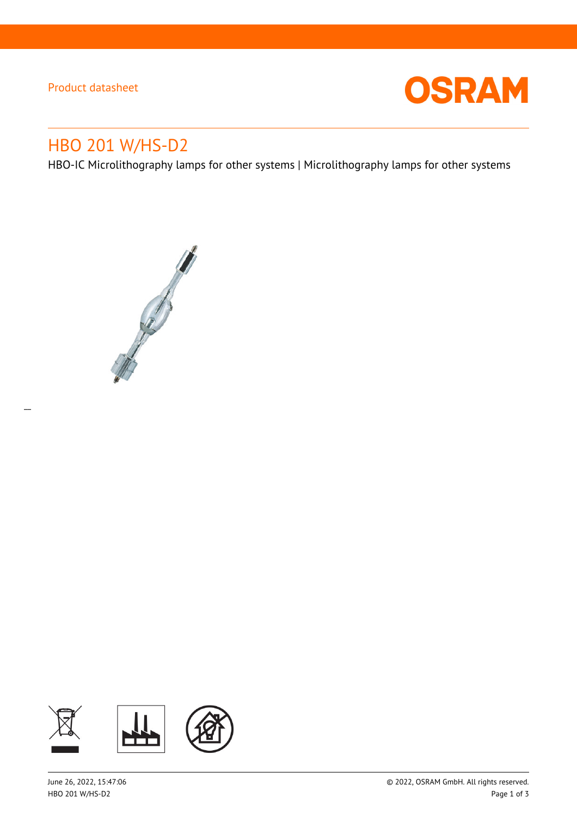Product datasheet

 $\overline{a}$ 



# HBO 201 W/HS-D2

HBO-IC Microlithography lamps for other systems | Microlithography lamps for other systems



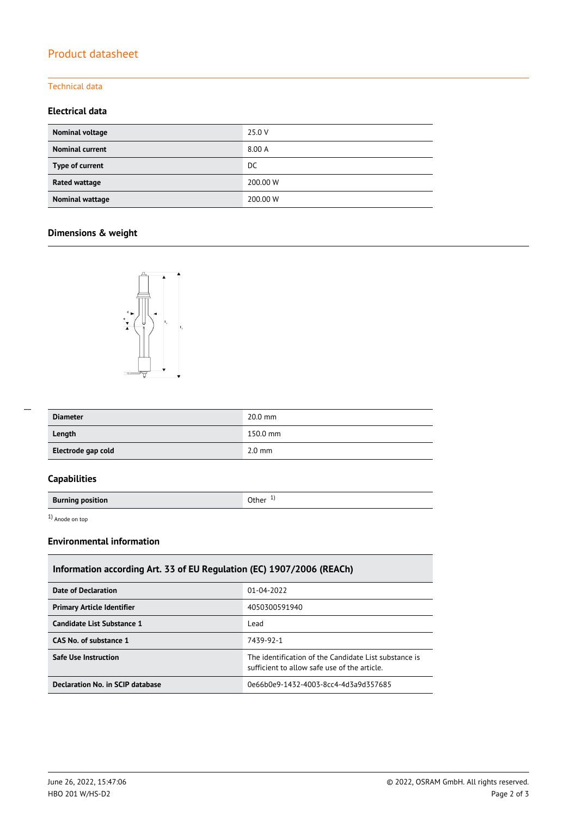# Product datasheet

#### Technical data

#### **Electrical data**

| Nominal voltage        | 25.0 V   |
|------------------------|----------|
| <b>Nominal current</b> | 8.00 A   |
| Type of current        | DC.      |
| <b>Rated wattage</b>   | 200.00 W |
| <b>Nominal wattage</b> | 200.00 W |

# **Dimensions & weight**



| --- |  |
|-----|--|
|     |  |

| <b>Diameter</b>    | $20.0$ mm        |
|--------------------|------------------|
| Length             | 150.0 mm         |
| Electrode gap cold | $2.0 \text{ mm}$ |

### **Capabilities**

**Burning position Burning position** 

1) Anode on top

#### **Environmental information**

| Information according Art. 33 of EU Regulation (EC) 1907/2006 (REACh) |                                                                                                       |  |  |  |
|-----------------------------------------------------------------------|-------------------------------------------------------------------------------------------------------|--|--|--|
| Date of Declaration                                                   | 01-04-2022                                                                                            |  |  |  |
| <b>Primary Article Identifier</b>                                     | 4050300591940                                                                                         |  |  |  |
| Candidate List Substance 1                                            | Lead                                                                                                  |  |  |  |
| CAS No. of substance 1                                                | 7439-92-1                                                                                             |  |  |  |
| <b>Safe Use Instruction</b>                                           | The identification of the Candidate List substance is<br>sufficient to allow safe use of the article. |  |  |  |
| <b>Declaration No. in SCIP database</b>                               | 0e66b0e9-1432-4003-8cc4-4d3a9d357685                                                                  |  |  |  |